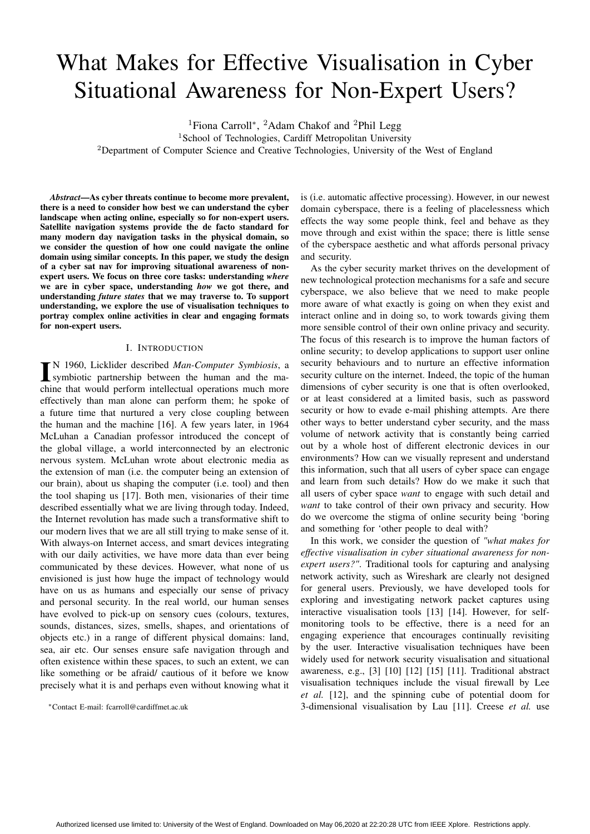# What Makes for Effective Visualisation in Cyber Situational Awareness for Non-Expert Users?

<sup>1</sup>Fiona Carroll<sup>∗</sup>, <sup>2</sup>Adam Chakof and <sup>2</sup>Phil Legg

<sup>1</sup>School of Technologies, Cardiff Metropolitan University

<sup>2</sup>Department of Computer Science and Creative Technologies, University of the West of England

*Abstract*—As cyber threats continue to become more prevalent, there is a need to consider how best we can understand the cyber landscape when acting online, especially so for non-expert users. Satellite navigation systems provide the de facto standard for many modern day navigation tasks in the physical domain, so we consider the question of how one could navigate the online domain using similar concepts. In this paper, we study the design of a cyber sat nav for improving situational awareness of nonexpert users. We focus on three core tasks: understanding *where* we are in cyber space, understanding *how* we got there, and understanding *future states* that we may traverse to. To support understanding, we explore the use of visualisation techniques to portray complex online activities in clear and engaging formats for non-expert users.

### I. INTRODUCTION

I<sup>N</sup> 1960, Licklider described *Man-Computer Symbiosis*, a symbiotic partnership between the human and the masymbiotic partnership between the human and the machine that would perform intellectual operations much more effectively than man alone can perform them; he spoke of a future time that nurtured a very close coupling between the human and the machine [16]. A few years later, in 1964 McLuhan a Canadian professor introduced the concept of the global village, a world interconnected by an electronic nervous system. McLuhan wrote about electronic media as the extension of man (i.e. the computer being an extension of our brain), about us shaping the computer (i.e. tool) and then the tool shaping us [17]. Both men, visionaries of their time described essentially what we are living through today. Indeed, the Internet revolution has made such a transformative shift to our modern lives that we are all still trying to make sense of it. With always-on Internet access, and smart devices integrating with our daily activities, we have more data than ever being communicated by these devices. However, what none of us envisioned is just how huge the impact of technology would have on us as humans and especially our sense of privacy and personal security. In the real world, our human senses have evolved to pick-up on sensory cues (colours, textures, sounds, distances, sizes, smells, shapes, and orientations of objects etc.) in a range of different physical domains: land, sea, air etc. Our senses ensure safe navigation through and often existence within these spaces, to such an extent, we can like something or be afraid/ cautious of it before we know precisely what it is and perhaps even without knowing what it is (i.e. automatic affective processing). However, in our newest domain cyberspace, there is a feeling of placelessness which effects the way some people think, feel and behave as they move through and exist within the space; there is little sense of the cyberspace aesthetic and what affords personal privacy and security.

As the cyber security market thrives on the development of new technological protection mechanisms for a safe and secure cyberspace, we also believe that we need to make people more aware of what exactly is going on when they exist and interact online and in doing so, to work towards giving them more sensible control of their own online privacy and security. The focus of this research is to improve the human factors of online security; to develop applications to support user online security behaviours and to nurture an effective information security culture on the internet. Indeed, the topic of the human dimensions of cyber security is one that is often overlooked, or at least considered at a limited basis, such as password security or how to evade e-mail phishing attempts. Are there other ways to better understand cyber security, and the mass volume of network activity that is constantly being carried out by a whole host of different electronic devices in our environments? How can we visually represent and understand this information, such that all users of cyber space can engage and learn from such details? How do we make it such that all users of cyber space *want* to engage with such detail and *want* to take control of their own privacy and security. How do we overcome the stigma of online security being 'boring and something for 'other people to deal with?

In this work, we consider the question of *"what makes for effective visualisation in cyber situational awareness for nonexpert users?"*. Traditional tools for capturing and analysing network activity, such as Wireshark are clearly not designed for general users. Previously, we have developed tools for exploring and investigating network packet captures using interactive visualisation tools [13] [14]. However, for selfmonitoring tools to be effective, there is a need for an engaging experience that encourages continually revisiting by the user. Interactive visualisation techniques have been widely used for network security visualisation and situational awareness, e.g., [3] [10] [12] [15] [11]. Traditional abstract visualisation techniques include the visual firewall by Lee *et al.* [12], and the spinning cube of potential doom for 3-dimensional visualisation by Lau [11]. Creese *et al.* use

<sup>∗</sup>Contact E-mail: fcarroll@cardiffmet.ac.uk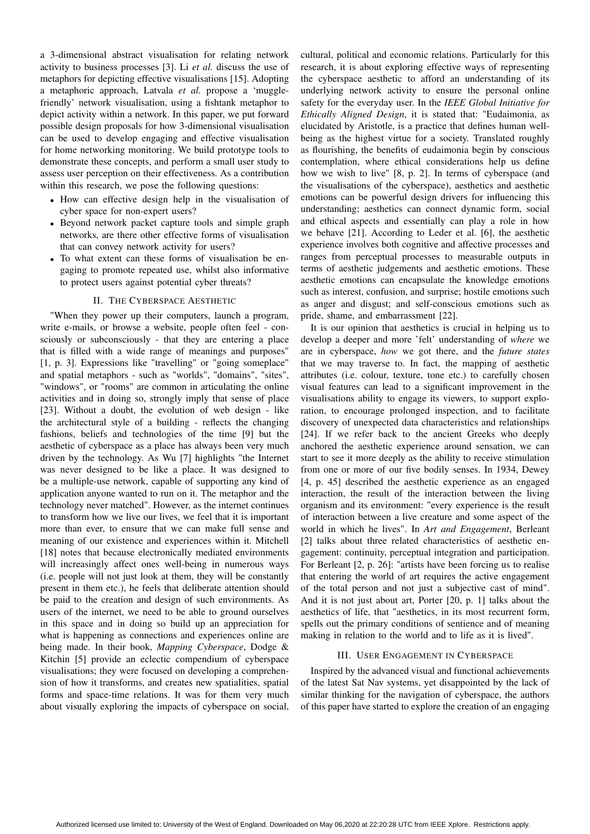a 3-dimensional abstract visualisation for relating network activity to business processes [3]. Li *et al.* discuss the use of metaphors for depicting effective visualisations [15]. Adopting a metaphoric approach, Latvala *et al.* propose a 'mugglefriendly' network visualisation, using a fishtank metaphor to depict activity within a network. In this paper, we put forward possible design proposals for how 3-dimensional visualisation can be used to develop engaging and effective visualisation for home networking monitoring. We build prototype tools to demonstrate these concepts, and perform a small user study to assess user perception on their effectiveness. As a contribution within this research, we pose the following questions:

- How can effective design help in the visualisation of cyber space for non-expert users?
- Beyond network packet capture tools and simple graph networks, are there other effective forms of visualisation that can convey network activity for users?
- To what extent can these forms of visualisation be engaging to promote repeated use, whilst also informative to protect users against potential cyber threats?

#### II. THE CYBERSPACE AESTHETIC

"When they power up their computers, launch a program, write e-mails, or browse a website, people often feel - consciously or subconsciously - that they are entering a place that is filled with a wide range of meanings and purposes" [1, p. 3]. Expressions like "travelling" or "going someplace" and spatial metaphors - such as "worlds", "domains", "sites", "windows", or "rooms" are common in articulating the online activities and in doing so, strongly imply that sense of place [23]. Without a doubt, the evolution of web design - like the architectural style of a building - reflects the changing fashions, beliefs and technologies of the time [9] but the aesthetic of cyberspace as a place has always been very much driven by the technology. As Wu [7] highlights "the Internet was never designed to be like a place. It was designed to be a multiple-use network, capable of supporting any kind of application anyone wanted to run on it. The metaphor and the technology never matched". However, as the internet continues to transform how we live our lives, we feel that it is important more than ever, to ensure that we can make full sense and meaning of our existence and experiences within it. Mitchell [18] notes that because electronically mediated environments will increasingly affect ones well-being in numerous ways (i.e. people will not just look at them, they will be constantly present in them etc.), he feels that deliberate attention should be paid to the creation and design of such environments. As users of the internet, we need to be able to ground ourselves in this space and in doing so build up an appreciation for what is happening as connections and experiences online are being made. In their book, *Mapping Cyberspace*, Dodge & Kitchin [5] provide an eclectic compendium of cyberspace visualisations; they were focused on developing a comprehension of how it transforms, and creates new spatialities, spatial forms and space-time relations. It was for them very much about visually exploring the impacts of cyberspace on social,

cultural, political and economic relations. Particularly for this research, it is about exploring effective ways of representing the cyberspace aesthetic to afford an understanding of its underlying network activity to ensure the personal online safety for the everyday user. In the *IEEE Global Initiative for Ethically Aligned Design*, it is stated that: "Eudaimonia, as elucidated by Aristotle, is a practice that defines human wellbeing as the highest virtue for a society. Translated roughly as flourishing, the benefits of eudaimonia begin by conscious contemplation, where ethical considerations help us define how we wish to live" [8, p. 2]. In terms of cyberspace (and the visualisations of the cyberspace), aesthetics and aesthetic emotions can be powerful design drivers for influencing this understanding; aesthetics can connect dynamic form, social and ethical aspects and essentially can play a role in how we behave [21]. According to Leder et al. [6], the aesthetic experience involves both cognitive and affective processes and ranges from perceptual processes to measurable outputs in terms of aesthetic judgements and aesthetic emotions. These aesthetic emotions can encapsulate the knowledge emotions such as interest, confusion, and surprise; hostile emotions such as anger and disgust; and self-conscious emotions such as pride, shame, and embarrassment [22].

It is our opinion that aesthetics is crucial in helping us to develop a deeper and more 'felt' understanding of *where* we are in cyberspace, *how* we got there, and the *future states* that we may traverse to. In fact, the mapping of aesthetic attributes (i.e. colour, texture, tone etc.) to carefully chosen visual features can lead to a significant improvement in the visualisations ability to engage its viewers, to support exploration, to encourage prolonged inspection, and to facilitate discovery of unexpected data characteristics and relationships [24]. If we refer back to the ancient Greeks who deeply anchored the aesthetic experience around sensation, we can start to see it more deeply as the ability to receive stimulation from one or more of our five bodily senses. In 1934, Dewey [4, p. 45] described the aesthetic experience as an engaged interaction, the result of the interaction between the living organism and its environment: "every experience is the result of interaction between a live creature and some aspect of the world in which he lives". In *Art and Engagement*, Berleant [2] talks about three related characteristics of aesthetic engagement: continuity, perceptual integration and participation. For Berleant [2, p. 26]: "artists have been forcing us to realise that entering the world of art requires the active engagement of the total person and not just a subjective cast of mind". And it is not just about art, Porter [20, p. 1] talks about the aesthetics of life, that "aesthetics, in its most recurrent form, spells out the primary conditions of sentience and of meaning making in relation to the world and to life as it is lived".

#### III. USER ENGAGEMENT IN CYBERSPACE

Inspired by the advanced visual and functional achievements of the latest Sat Nav systems, yet disappointed by the lack of similar thinking for the navigation of cyberspace, the authors of this paper have started to explore the creation of an engaging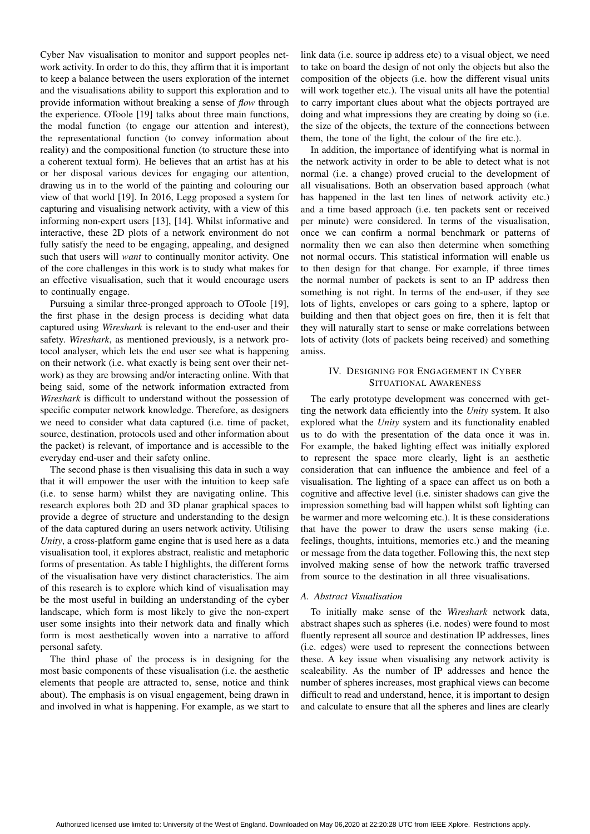Cyber Nav visualisation to monitor and support peoples network activity. In order to do this, they affirm that it is important to keep a balance between the users exploration of the internet and the visualisations ability to support this exploration and to provide information without breaking a sense of *flow* through the experience. OToole [19] talks about three main functions, the modal function (to engage our attention and interest), the representational function (to convey information about reality) and the compositional function (to structure these into a coherent textual form). He believes that an artist has at his or her disposal various devices for engaging our attention, drawing us in to the world of the painting and colouring our view of that world [19]. In 2016, Legg proposed a system for capturing and visualising network activity, with a view of this informing non-expert users [13], [14]. Whilst informative and interactive, these 2D plots of a network environment do not fully satisfy the need to be engaging, appealing, and designed such that users will *want* to continually monitor activity. One of the core challenges in this work is to study what makes for an effective visualisation, such that it would encourage users to continually engage.

Pursuing a similar three-pronged approach to OToole [19], the first phase in the design process is deciding what data captured using *Wireshark* is relevant to the end-user and their safety. *Wireshark*, as mentioned previously, is a network protocol analyser, which lets the end user see what is happening on their network (i.e. what exactly is being sent over their network) as they are browsing and/or interacting online. With that being said, some of the network information extracted from *Wireshark* is difficult to understand without the possession of specific computer network knowledge. Therefore, as designers we need to consider what data captured (i.e. time of packet, source, destination, protocols used and other information about the packet) is relevant, of importance and is accessible to the everyday end-user and their safety online.

The second phase is then visualising this data in such a way that it will empower the user with the intuition to keep safe (i.e. to sense harm) whilst they are navigating online. This research explores both 2D and 3D planar graphical spaces to provide a degree of structure and understanding to the design of the data captured during an users network activity. Utilising *Unity*, a cross-platform game engine that is used here as a data visualisation tool, it explores abstract, realistic and metaphoric forms of presentation. As table I highlights, the different forms of the visualisation have very distinct characteristics. The aim of this research is to explore which kind of visualisation may be the most useful in building an understanding of the cyber landscape, which form is most likely to give the non-expert user some insights into their network data and finally which form is most aesthetically woven into a narrative to afford personal safety.

The third phase of the process is in designing for the most basic components of these visualisation (i.e. the aesthetic elements that people are attracted to, sense, notice and think about). The emphasis is on visual engagement, being drawn in and involved in what is happening. For example, as we start to

link data (i.e. source ip address etc) to a visual object, we need to take on board the design of not only the objects but also the composition of the objects (i.e. how the different visual units will work together etc.). The visual units all have the potential to carry important clues about what the objects portrayed are doing and what impressions they are creating by doing so (i.e. the size of the objects, the texture of the connections between them, the tone of the light, the colour of the fire etc.).

In addition, the importance of identifying what is normal in the network activity in order to be able to detect what is not normal (i.e. a change) proved crucial to the development of all visualisations. Both an observation based approach (what has happened in the last ten lines of network activity etc.) and a time based approach (i.e. ten packets sent or received per minute) were considered. In terms of the visualisation, once we can confirm a normal benchmark or patterns of normality then we can also then determine when something not normal occurs. This statistical information will enable us to then design for that change. For example, if three times the normal number of packets is sent to an IP address then something is not right. In terms of the end-user, if they see lots of lights, envelopes or cars going to a sphere, laptop or building and then that object goes on fire, then it is felt that they will naturally start to sense or make correlations between lots of activity (lots of packets being received) and something amiss.

# IV. DESIGNING FOR ENGAGEMENT IN CYBER SITUATIONAL AWARENESS

The early prototype development was concerned with getting the network data efficiently into the *Unity* system. It also explored what the *Unity* system and its functionality enabled us to do with the presentation of the data once it was in. For example, the baked lighting effect was initially explored to represent the space more clearly, light is an aesthetic consideration that can influence the ambience and feel of a visualisation. The lighting of a space can affect us on both a cognitive and affective level (i.e. sinister shadows can give the impression something bad will happen whilst soft lighting can be warmer and more welcoming etc.). It is these considerations that have the power to draw the users sense making (i.e. feelings, thoughts, intuitions, memories etc.) and the meaning or message from the data together. Following this, the next step involved making sense of how the network traffic traversed from source to the destination in all three visualisations.

## *A. Abstract Visualisation*

To initially make sense of the *Wireshark* network data, abstract shapes such as spheres (i.e. nodes) were found to most fluently represent all source and destination IP addresses, lines (i.e. edges) were used to represent the connections between these. A key issue when visualising any network activity is scaleability. As the number of IP addresses and hence the number of spheres increases, most graphical views can become difficult to read and understand, hence, it is important to design and calculate to ensure that all the spheres and lines are clearly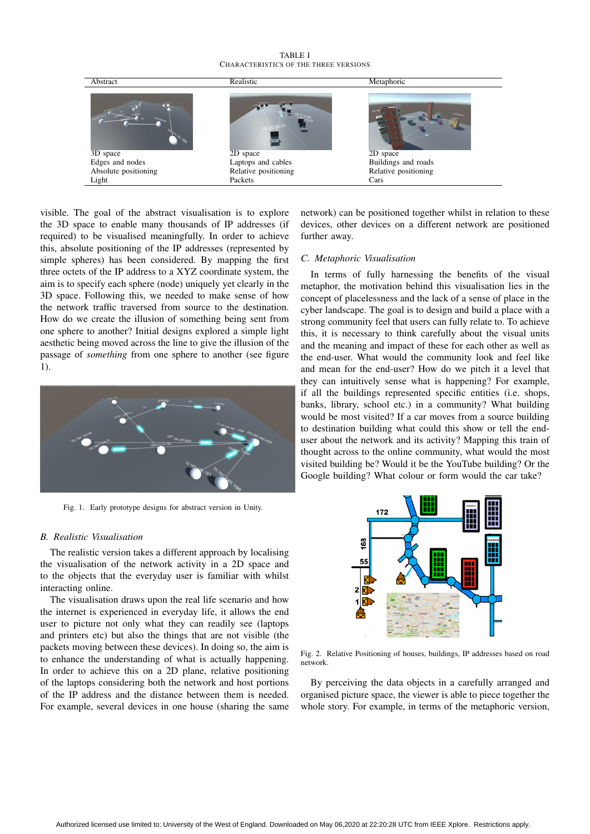TABLE I CHARACTERISTICS OF THE THREE VERSIONS



visible. The goal of the abstract visualisation is to explore the 3D space to enable many thousands of IP addresses (if required) to be visualised meaningfully. In order to achieve this, absolute positioning of the IP addresses (represented by simple spheres) has been considered. By mapping the first three octets of the IP address to a XYZ coordinate system, the aim is to specify each sphere (node) uniquely yet clearly in the 3D space. Following this, we needed to make sense of how the network traffic traversed from source to the destination. How do we create the illusion of something being sent from one sphere to another? Initial designs explored a simple light aesthetic being moved across the line to give the illusion of the passage of *something* from one sphere to another (see figure 1).



Fig. 1. Early prototype designs for abstract version in Unity.

# *B. Realistic Visualisation*

The realistic version takes a different approach by localising the visualisation of the network activity in a 2D space and to the objects that the everyday user is familiar with whilst interacting online.

The visualisation draws upon the real life scenario and how the internet is experienced in everyday life, it allows the end user to picture not only what they can readily see (laptops and printers etc) but also the things that are not visible (the packets moving between these devices). In doing so, the aim is to enhance the understanding of what is actually happening. In order to achieve this on a 2D plane, relative positioning of the laptops considering both the network and host portions of the IP address and the distance between them is needed. For example, several devices in one house (sharing the same

network) can be positioned together whilst in relation to these devices, other devices on a different network are positioned further away.

# *C. Metaphoric Visualisation*

In terms of fully harnessing the benefits of the visual metaphor, the motivation behind this visualisation lies in the concept of placelessness and the lack of a sense of place in the cyber landscape. The goal is to design and build a place with a strong community feel that users can fully relate to. To achieve this, it is necessary to think carefully about the visual units and the meaning and impact of these for each other as well as the end-user. What would the community look and feel like and mean for the end-user? How do we pitch it a level that they can intuitively sense what is happening? For example, if all the buildings represented specific entities (i.e. shops, banks, library, school etc.) in a community? What building would be most visited? If a car moves from a source building to destination building what could this show or tell the enduser about the network and its activity? Mapping this train of thought across to the online community, what would the most visited building be? Would it be the YouTube building? Or the Google building? What colour or form would the car take?



Fig. 2. Relative Positioning of houses, buildings, IP addresses based on road network.

By perceiving the data objects in a carefully arranged and organised picture space, the viewer is able to piece together the whole story. For example, in terms of the metaphoric version,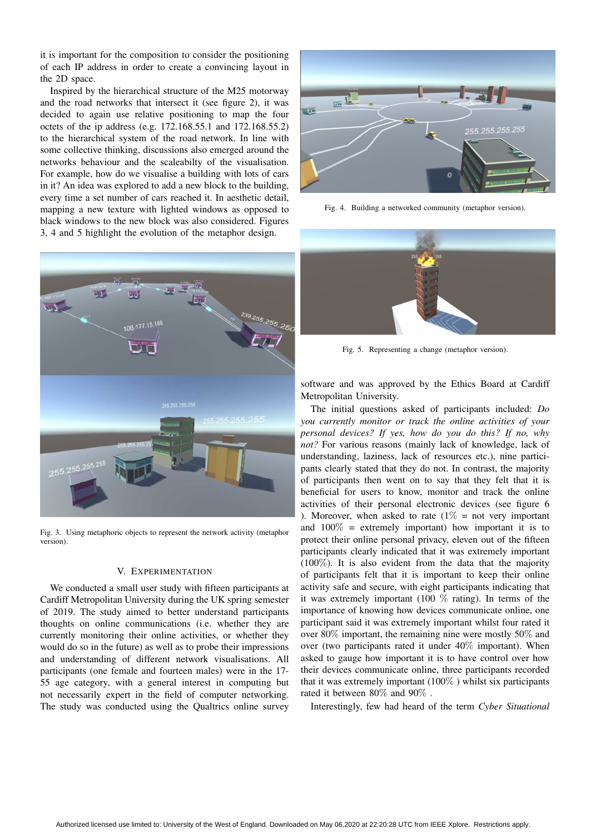it is important for the composition to consider the positioning of each IP address in order to create a convincing layout in the 2D space.

Inspired by the hierarchical structure of the M25 motorway and the road networks that intersect it (see figure 2), it was decided to again use relative positioning to map the four octets of the ip address (e.g. 172.168.55.1 and 172.168.55.2) to the hierarchical system of the road network. In line with some collective thinking, discussions also emerged around the networks behaviour and the scaleabilty of the visualisation. For example, how do we visualise a building with lots of cars in it? An idea was explored to add a new block to the building, every time a set number of cars reached it. In aesthetic detail, mapping a new texture with lighted windows as opposed to black windows to the new block was also considered. Figures 3, 4 and 5 highlight the evolution of the metaphor design.



Fig. 3. Using metaphoric objects to represent the network activity (metaphor version).

# V. EXPERIMENTATION

We conducted a small user study with fifteen participants at Cardiff Metropolitan University during the UK spring semester of 2019. The study aimed to better understand participants thoughts on online communications (i.e. whether they are currently monitoring their online activities, or whether they would do so in the future) as well as to probe their impressions and understanding of different network visualisations. All participants (one female and fourteen males) were in the 17- 55 age category, with a general interest in computing but not necessarily expert in the field of computer networking. The study was conducted using the Qualtrics online survey



Fig. 4. Building a networked community (metaphor version).



Fig. 5. Representing a change (metaphor version).

software and was approved by the Ethics Board at Cardiff Metropolitan University.

The initial questions asked of participants included: *Do you currently monitor or track the online activities of your personal devices? If yes, how do you do this? If no, why not?* For various reasons (mainly lack of knowledge, lack of understanding, laziness, lack of resources etc.), nine participants clearly stated that they do not. In contrast, the majority of participants then went on to say that they felt that it is beneficial for users to know, monitor and track the online activities of their personal electronic devices (see figure 6 ). Moreover, when asked to rate ( $1\%$  = not very important and  $100\%$  = extremely important) how important it is to protect their online personal privacy, eleven out of the fifteen participants clearly indicated that it was extremely important (100%). It is also evident from the data that the majority of participants felt that it is important to keep their online activity safe and secure, with eight participants indicating that it was extremely important (100 % rating). In terms of the importance of knowing how devices communicate online, one participant said it was extremely important whilst four rated it over 80% important, the remaining nine were mostly 50% and over (two participants rated it under 40% important). When asked to gauge how important it is to have control over how their devices communicate online, three participants recorded that it was extremely important  $(100\%)$  whilst six participants rated it between 80% and 90% .

Interestingly, few had heard of the term *Cyber Situational*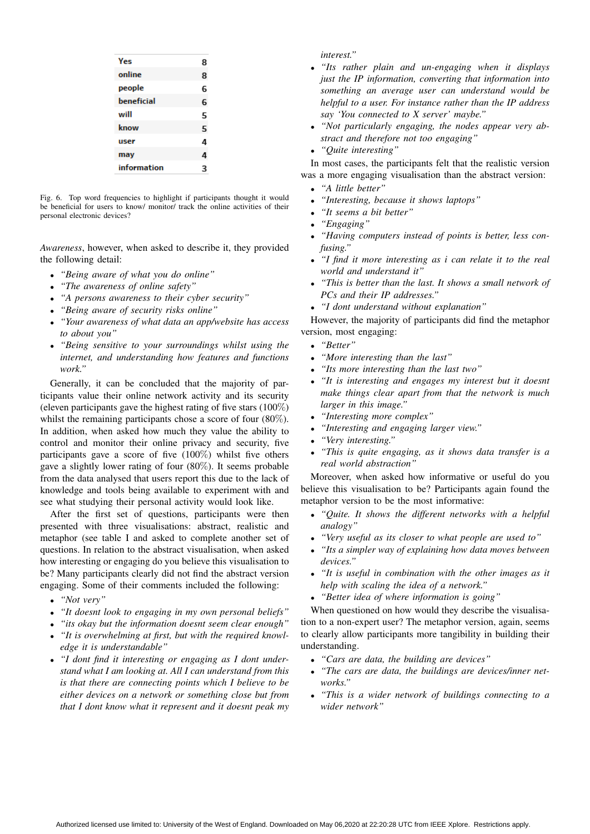| Yes         | 8 |
|-------------|---|
| online      | 8 |
| people      | 6 |
| beneficial  | 6 |
| will        | 5 |
| know        | 5 |
| user        | 4 |
| may         | 4 |
| information | 3 |
|             |   |

Fig. 6. Top word frequencies to highlight if participants thought it would be beneficial for users to know/ monitor/ track the online activities of their personal electronic devices?

*Awareness*, however, when asked to describe it, they provided the following detail:

- *"Being aware of what you do online"*
- *"The awareness of online safety"*
- *"A persons awareness to their cyber security"*
- *"Being aware of security risks online"*
- *"Your awareness of what data an app/website has access to about you"*
- *"Being sensitive to your surroundings whilst using the internet, and understanding how features and functions work."*

Generally, it can be concluded that the majority of participants value their online network activity and its security (eleven participants gave the highest rating of five stars  $(100\%)$ ) whilst the remaining participants chose a score of four (80%). In addition, when asked how much they value the ability to control and monitor their online privacy and security, five participants gave a score of five (100%) whilst five others gave a slightly lower rating of four (80%). It seems probable from the data analysed that users report this due to the lack of knowledge and tools being available to experiment with and see what studying their personal activity would look like.

After the first set of questions, participants were then presented with three visualisations: abstract, realistic and metaphor (see table I and asked to complete another set of questions. In relation to the abstract visualisation, when asked how interesting or engaging do you believe this visualisation to be? Many participants clearly did not find the abstract version engaging. Some of their comments included the following:

- *"Not very"*
- *"It doesnt look to engaging in my own personal beliefs"*
- *"its okay but the information doesnt seem clear enough"*
- *"It is overwhelming at first, but with the required knowledge it is understandable"*
- *"I dont find it interesting or engaging as I dont understand what I am looking at. All I can understand from this is that there are connecting points which I believe to be either devices on a network or something close but from that I dont know what it represent and it doesnt peak my*

*interest."*

- *"Its rather plain and un-engaging when it displays just the IP information, converting that information into something an average user can understand would be helpful to a user. For instance rather than the IP address say 'You connected to X server' maybe."*
- *"Not particularly engaging, the nodes appear very abstract and therefore not too engaging"*
- *"Quite interesting"*

In most cases, the participants felt that the realistic version was a more engaging visualisation than the abstract version:

- *"A little better"*
- *"Interesting, because it shows laptops"*
- *"It seems a bit better"*
- *"Engaging"*
- *"Having computers instead of points is better, less confusing."*
- *"I find it more interesting as i can relate it to the real world and understand it"*
- *"This is better than the last. It shows a small network of PCs and their IP addresses."*
- *"I dont understand without explanation"*

However, the majority of participants did find the metaphor version, most engaging:

- *"Better"*
- *"More interesting than the last"*
- *"Its more interesting than the last two"*
- *"It is interesting and engages my interest but it doesnt make things clear apart from that the network is much larger in this image."*
- *"Interesting more complex"*
- *"Interesting and engaging larger view."*
- *"Very interesting."*
- *"This is quite engaging, as it shows data transfer is a real world abstraction"*

Moreover, when asked how informative or useful do you believe this visualisation to be? Participants again found the metaphor version to be the most informative:

- *"Quite. It shows the different networks with a helpful analogy"*
- *"Very useful as its closer to what people are used to"*
- *"Its a simpler way of explaining how data moves between devices."*
- *"It is useful in combination with the other images as it help with scaling the idea of a network."*
- *"Better idea of where information is going"*

When questioned on how would they describe the visualisation to a non-expert user? The metaphor version, again, seems to clearly allow participants more tangibility in building their understanding.

- *"Cars are data, the building are devices"*
- *"The cars are data, the buildings are devices/inner networks."*
- *"This is a wider network of buildings connecting to a wider network"*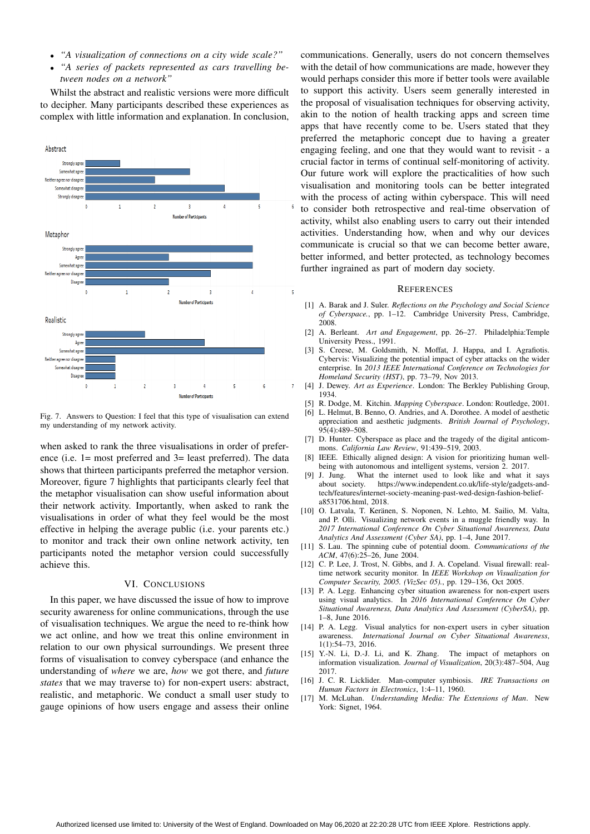- *"A visualization of connections on a city wide scale?"*
- *"A series of packets represented as cars travelling between nodes on a network"*

Whilst the abstract and realistic versions were more difficult to decipher. Many participants described these experiences as complex with little information and explanation. In conclusion,



Fig. 7. Answers to Question: I feel that this type of visualisation can extend my understanding of my network activity.

when asked to rank the three visualisations in order of preference (i.e. 1= most preferred and 3= least preferred). The data shows that thirteen participants preferred the metaphor version. Moreover, figure 7 highlights that participants clearly feel that the metaphor visualisation can show useful information about their network activity. Importantly, when asked to rank the visualisations in order of what they feel would be the most effective in helping the average public (i.e. your parents etc.) to monitor and track their own online network activity, ten participants noted the metaphor version could successfully achieve this.

### VI. CONCLUSIONS

In this paper, we have discussed the issue of how to improve security awareness for online communications, through the use of visualisation techniques. We argue the need to re-think how we act online, and how we treat this online environment in relation to our own physical surroundings. We present three forms of visualisation to convey cyberspace (and enhance the understanding of *where* we are, *how* we got there, and *future states* that we may traverse to) for non-expert users: abstract, realistic, and metaphoric. We conduct a small user study to gauge opinions of how users engage and assess their online

communications. Generally, users do not concern themselves with the detail of how communications are made, however they would perhaps consider this more if better tools were available to support this activity. Users seem generally interested in the proposal of visualisation techniques for observing activity, akin to the notion of health tracking apps and screen time apps that have recently come to be. Users stated that they preferred the metaphoric concept due to having a greater engaging feeling, and one that they would want to revisit - a crucial factor in terms of continual self-monitoring of activity. Our future work will explore the practicalities of how such visualisation and monitoring tools can be better integrated with the process of acting within cyberspace. This will need to consider both retrospective and real-time observation of activity, whilst also enabling users to carry out their intended activities. Understanding how, when and why our devices communicate is crucial so that we can become better aware, better informed, and better protected, as technology becomes further ingrained as part of modern day society.

#### **REFERENCES**

- [1] A. Barak and J. Suler. *Reflections on the Psychology and Social Science of Cyberspace.*, pp. 1–12. Cambridge University Press, Cambridge, 2008.
- [2] A. Berleant. *Art and Engagement*, pp. 26–27. Philadelphia:Temple University Press., 1991.
- [3] S. Creese, M. Goldsmith, N. Moffat, J. Happa, and I. Agrafiotis. Cybervis: Visualizing the potential impact of cyber attacks on the wider enterprise. In *2013 IEEE International Conference on Technologies for Homeland Security (HST)*, pp. 73–79, Nov 2013.
- [4] J. Dewey. *Art as Experience*. London: The Berkley Publishing Group, 1934.
- [5] R. Dodge, M. Kitchin. *Mapping Cyberspace*. London: Routledge, 2001.
- [6] L. Helmut, B. Benno, O. Andries, and A. Dorothee. A model of aesthetic appreciation and aesthetic judgments. *British Journal of Psychology*, 95(4):489–508.
- [7] D. Hunter. Cyberspace as place and the tragedy of the digital anticommons. *California Law Review*, 91:439–519, 2003.
- [8] IEEE. Ethically aligned design: A vision for prioritizing human wellbeing with autonomous and intelligent systems, version 2. 2017.
- [9] J. Jung. What the internet used to look like and what it says about society. https://www.independent.co.uk/life-style/gadgets-andtech/features/internet-society-meaning-past-wed-design-fashion-beliefa8531706.html, 2018.
- [10] O. Latvala, T. Keränen, S. Noponen, N. Lehto, M. Sailio, M. Valta, and P. Olli. Visualizing network events in a muggle friendly way. In *2017 International Conference On Cyber Situational Awareness, Data Analytics And Assessment (Cyber SA)*, pp. 1–4, June 2017.
- [11] S. Lau. The spinning cube of potential doom. *Communications of the ACM*, 47(6):25–26, June 2004.
- [12] C. P. Lee, J. Trost, N. Gibbs, and J. A. Copeland. Visual firewall: realtime network security monitor. In *IEEE Workshop on Visualization for Computer Security, 2005. (VizSec 05).*, pp. 129–136, Oct 2005.
- [13] P. A. Legg. Enhancing cyber situation awareness for non-expert users using visual analytics. In *2016 International Conference On Cyber Situational Awareness, Data Analytics And Assessment (CyberSA)*, pp. 1–8, June 2016.
- [14] P. A. Legg. Visual analytics for non-expert users in cyber situation awareness. *International Journal on Cyber Situational Awareness*, 1(1):54–73, 2016.
- [15] Y.-N. Li, D.-J. Li, and K. Zhang. The impact of metaphors on information visualization. *Journal of Visualization*, 20(3):487–504, Aug 2017.
- [16] J. C. R. Licklider. Man-computer symbiosis. *IRE Transactions on Human Factors in Electronics*, 1:4–11, 1960.
- [17] M. McLuhan. *Understanding Media: The Extensions of Man*. New York: Signet, 1964.